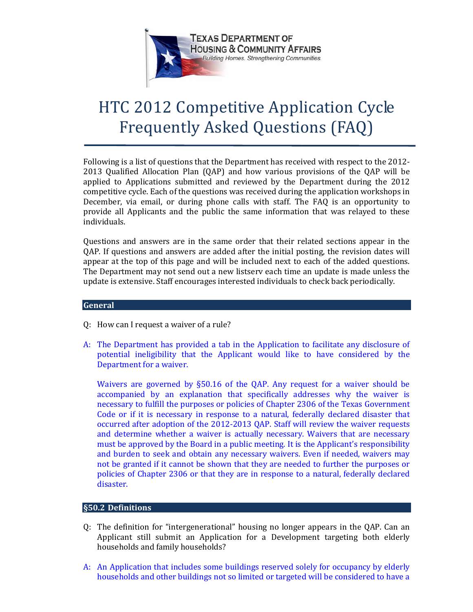

# HTC 2012 Competitive Application Cycle Frequently Asked Questions (FAQ)

 Following is a list of questions that the Department has received with respect to the 2012- applied to Applications submitted and reviewed by the Department during the 2012 December, via email, or during phone calls with staff. The FAQ is an opportunity to 2013 Qualified Allocation Plan (QAP) and how various provisions of the QAP will be competitive cycle. Each of the questions was received during the application workshops in provide all Applicants and the public the same information that was relayed to these individuals.

 Questions and answers are in the same order that their related sections appear in the appear at the top of this page and will be included next to each of the added questions. The Department may not send out a new listserv each time an update is made unless the QAP. If questions and answers are added after the initial posting, the revision dates will update is extensive. Staff encourages interested individuals to check back periodically.

# **General**

- Q: How can I request a waiver of a rule?
- potential ineligibility that the Applicant would like to have considered by the A: The Department has provided a tab in the Application to facilitate any disclosure of Department for a waiver.

 accompanied by an explanation that specifically addresses why the waiver is occurred after adoption of the 2012-2013 QAP. Staff will review the waiver requests and determine whether a waiver is actually necessary. Waivers that are necessary not be granted if it cannot be shown that they are needed to further the purposes or Waivers are governed by §50.16 of the QAP. Any request for a waiver should be necessary to fulfill the purposes or policies of Chapter 2306 of the Texas Government Code or if it is necessary in response to a natural, federally declared disaster that must be approved by the Board in a public meeting. It is the Applicant's responsibility and burden to seek and obtain any necessary waivers. Even if needed, waivers may policies of Chapter 2306 or that they are in response to a natural, federally declared disaster.

# **- §50.2 Definitions**

- Q: The definition for "intergenerational" housing no longer appears in the QAP. Can an Applicant still submit an Application for a Development targeting both elderly households and family households?
- A: An Application that includes some buildings reserved solely for occupancy by elderly households and other buildings not so limited or targeted will be considered to have a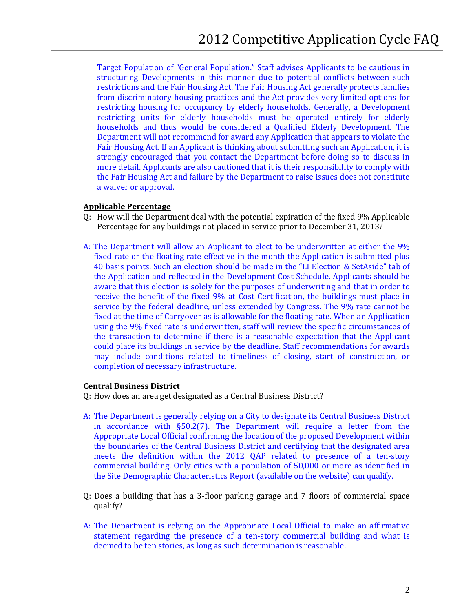structuring Developments in this manner due to potential conflicts between such restricting units for elderly households must be operated entirely for elderly Department will not recommend for award any Application that appears to violate the strongly encouraged that you contact the Department before doing so to discuss in more detail. Applicants are also cautioned that it is their responsibility to comply with Target Population of "General Population." Staff advises Applicants to be cautious in restrictions and the Fair Housing Act. The Fair Housing Act generally protects families from discriminatory housing practices and the Act provides very limited options for restricting housing for occupancy by elderly households. Generally, a Development households and thus would be considered a Qualified Elderly Development. The Fair Housing Act. If an Applicant is thinking about submitting such an Application, it is the Fair Housing Act and failure by the Department to raise issues does not constitute a waiver or approval.

# **Applicable Percentage**

- Q: How will the Department deal with the potential expiration of the fixed 9% Applicable Percentage for any buildings not placed in service prior to December 31, 2013?
- 40 basis points. Such an election should be made in the "LI Election & SetAside" tab of aware that this election is solely for the purposes of underwriting and that in order to receive the benefit of the fixed 9% at Cost Certification, the buildings must place in service by the federal deadline, unless extended by Congress. The 9% rate cannot be A: The Department will allow an Applicant to elect to be underwritten at either the 9% fixed rate or the floating rate effective in the month the Application is submitted plus the Application and reflected in the Development Cost Schedule. Applicants should be fixed at the time of Carryover as is allowable for the floating rate. When an Application using the 9% fixed rate is underwritten, staff will review the specific circumstances of the transaction to determine if there is a reasonable expectation that the Applicant could place its buildings in service by the deadline. Staff recommendations for awards may include conditions related to timeliness of closing, start of construction, or completion of necessary infrastructure.

#### **Central Business District**

Q: How does an area get designated as a Central Business District?

- A: The Department is generally relying on a City to designate its Central Business District in accordance with §50.2(7). The Department will require a letter from the the boundaries of the Central Business District and certifying that the designated area commercial building. Only cities with a population of 50,000 or more as identified in Appropriate Local Official confirming the location of the proposed Development within meets the definition within the 2012 QAP related to presence of a ten-story the Site Demographic Characteristics Report (available on the website) can qualify.
- Q: Does a building that has a 3-floor parking garage and 7 floors of commercial space qualify?
- A: The Department is relying on the Appropriate Local Official to make an affirmative statement regarding the presence of a ten-story commercial building and what is deemed to be ten stories, as long as such determination is reasonable.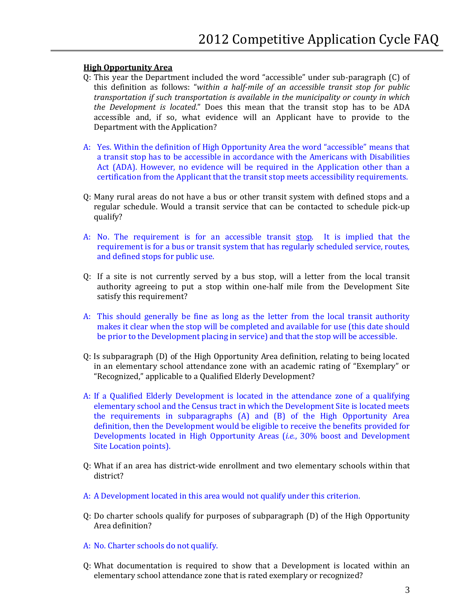# **High Opportunity Area**

- Q: This year the Department included the word "accessible" under sub-paragraph (C) of  this definition as follows: "*within a half-mile of an accessible transit stop for public the Development is located*." Does this mean that the transit stop has to be ADA *transportation if such transportation is available in the municipality or county in which*  accessible and, if so, what evidence will an Applicant have to provide to the Department with the Application?
- A: Yes. Within the definition of High Opportunity Area the word "accessible" means that a transit stop has to be accessible in accordance with the Americans with Disabilities Act (ADA). However, no evidence will be required in the Application other than a certification from the Applicant that the transit stop meets accessibility requirements.
- regular schedule. Would a transit service that can be contacted to schedule pick-up Q: Many rural areas do not have a bus or other transit system with defined stops and a qualify?
- A: No. The requirement is for an accessible transit stop. It is implied that the requirement is for a bus or transit system that has regularly scheduled service, routes, and defined stops for public use.
- Q: If a site is not currently served by a bus stop, will a letter from the local transit authority agreeing to put a stop within one-half mile from the Development Site satisfy this requirement?
- makes it clear when the stop will be completed and available for use (this date should A: This should generally be fine as long as the letter from the local transit authority be prior to the Development placing in service) and that the stop will be accessible.
- Q: Is subparagraph (D) of the High Opportunity Area definition, relating to being located in an elementary school attendance zone with an academic rating of "Exemplary" or "Recognized," applicable to a Qualified Elderly Development?
- the requirements in subparagraphs (A) and (B) of the High Opportunity Area A: If a Qualified Elderly Development is located in the attendance zone of a qualifying elementary school and the Census tract in which the Development Site is located meets definition, then the Development would be eligible to receive the benefits provided for Developments located in High Opportunity Areas (*i.e.*, 30% boost and Development Site Location points).
- Q: What if an area has district-wide enrollment and two elementary schools within that district?
- A: A Development located in this area would not qualify under this criterion.
- Area definition? Q: Do charter schools qualify for purposes of subparagraph (D) of the High Opportunity
- A: No. Charter schools do not qualify.
- Q: What documentation is required to show that a Development is located within an elementary school attendance zone that is rated exemplary or recognized?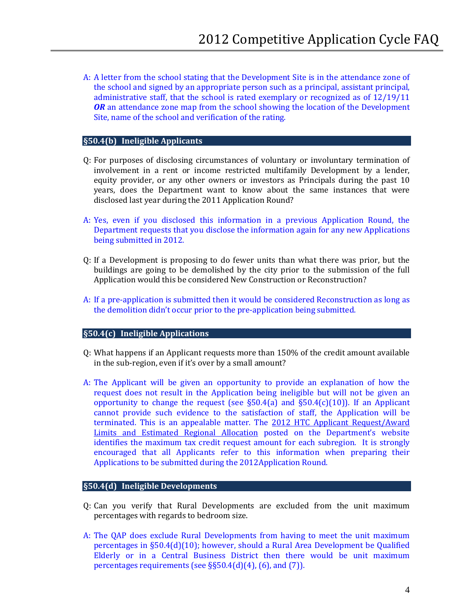A: A letter from the school stating that the Development Site is in the attendance zone of the school and signed by an appropriate person such as a principal, assistant principal, *OR* an attendance zone map from the school showing the location of the Development Site, name of the school and verification of the rating. administrative staff, that the school is rated exemplary or recognized as of 12/19/11

#### **- §50.4(b) Ineligible Applicants**

- Q: For purposes of disclosing circumstances of voluntary or involuntary termination of disclosed last year during the 2011 Application Round? involvement in a rent or income restricted multifamily Development by a lender, equity provider, or any other owners or investors as Principals during the past 10 years, does the Department want to know about the same instances that were
- A: Yes, even if you disclosed this information in a previous Application Round, the Department requests that you disclose the information again for any new Applications being submitted in 2012.
- buildings are going to be demolished by the city prior to the submission of the full Q: If a Development is proposing to do fewer units than what there was prior, but the Application would this be considered New Construction or Reconstruction?
- A: If a pre-application is submitted then it would be considered Reconstruction as long as the demolition didn't occur prior to the pre-application being submitted.

#### **- §50.4(c) Ineligible Applications**

- Q: What happens if an Applicant requests more than 150% of the credit amount available in the sub-region, even if it's over by a small amount?
- identifies the maximum tax credit request amount for each subregion. It is strongly A: The Applicant will be given an opportunity to provide an explanation of how the request does not result in the Application being ineligible but will not be given an opportunity to change the request (see  $\S50.4(a)$  and  $\S50.4(c)(10)$ ). If an Applicant cannot provide such evidence to the satisfaction of staff, the Application will be terminated. This is an appealable matter. The [2012 HTC Applicant Request/Award](http://www.tdhca.state.tx.us/multifamily/docs/12-HTC-AwardLimitsEstRegAlloc.pdf) [Limits and Estimated Regional Allocation](http://www.tdhca.state.tx.us/multifamily/docs/12-HTC-AwardLimitsEstRegAlloc.pdf) posted on the Department's website encouraged that all Applicants refer to this information when preparing their Applications to be submitted during the 2012Application Round.

#### **- §50.4(d) Ineligible Developments**

- Q: Can you verify that Rural Developments are excluded from the unit maximum percentages with regards to bedroom size.
- A: The QAP does exclude Rural Developments from having to meet the unit maximum Elderly or in a Central Business District then there would be unit maximum percentages in §50.4(d)(10); however, should a Rural Area Development be Qualified percentages requirements (see §§50.4(d)(4), (6), and (7)).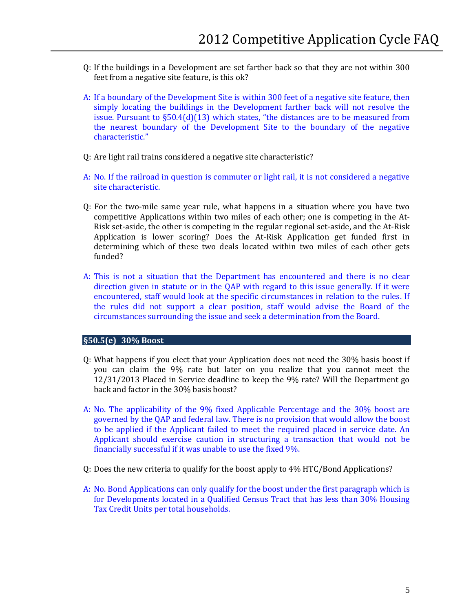- Q: If the buildings in a Development are set farther back so that they are not within 300 feet from a negative site feature, is this ok?
- A: If a boundary of the Development Site is within 300 feet of a negative site feature, then simply locating the buildings in the Development farther back will not resolve the issue. Pursuant to §50.4(d)(13) which states, "the distances are to be measured from the nearest boundary of the Development Site to the boundary of the negative characteristic."
- Q: Are light rail trains considered a negative site characteristic?
- A: No. If the railroad in question is commuter or light rail, it is not considered a negative site characteristic.
- Q: For the two-mile same year rule, what happens in a situation where you have two competitive Applications within two miles of each other; one is competing in the At- Application is lower scoring? Does the At-Risk Application get funded first in determining which of these two deals located within two miles of each other gets Risk set-aside, the other is competing in the regular regional set-aside, and the At-Risk funded?
- direction given in statute or in the QAP with regard to this issue generally. If it were encountered, staff would look at the specific circumstances in relation to the rules. If A: This is not a situation that the Department has encountered and there is no clear the rules did not support a clear position, staff would advise the Board of the circumstances surrounding the issue and seek a determination from the Board.

# **- §50.5(e) 30% Boost**

- you can claim the 9% rate but later on you realize that you cannot meet the Q: What happens if you elect that your Application does not need the 30% basis boost if 12/31/2013 Placed in Service deadline to keep the 9% rate? Will the Department go back and factor in the 30% basis boost?
- A: No. The applicability of the 9% fixed Applicable Percentage and the 30% boost are to be applied if the Applicant failed to meet the required placed in service date. An governed by the QAP and federal law. There is no provision that would allow the boost Applicant should exercise caution in structuring a transaction that would not be financially successful if it was unable to use the fixed 9%.
- Q: Does the new criteria to qualify for the boost apply to 4% HTC/Bond Applications?
- for Developments located in a Qualified Census Tract that has less than 30% Housing A: No. Bond Applications can only qualify for the boost under the first paragraph which is Tax Credit Units per total households.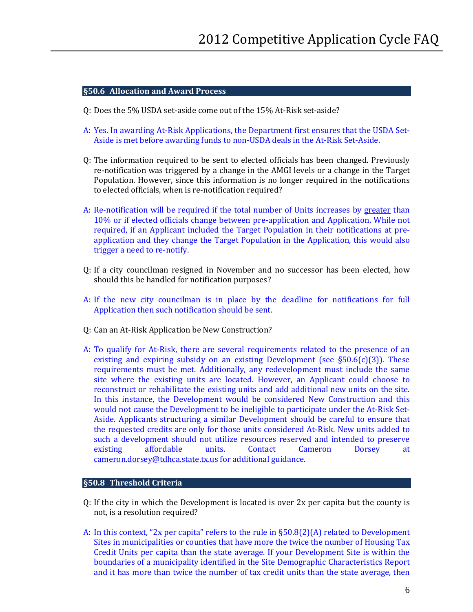# **- §50.6 Allocation and Award Process**

- Q: Does the 5% USDA set-aside come out of the 15% At-Risk set-aside?
- A: Yes. In awarding At-Risk Applications, the Department first ensures that the USDA Set-Aside is met before awarding funds to non-USDA deals in the At-Risk Set-Aside.
- re-notification was triggered by a change in the AMGI levels or a change in the Target Population. However, since this information is no longer required in the notifications Q: The information required to be sent to elected officials has been changed. Previously to elected officials, when is re-notification required?
- A: Re-notification will be required if the total number of Units increases by greater than 10% or if elected officials change between pre-application and Application. While not required, if an Applicant included the Target Population in their notifications at preapplication and they change the Target Population in the Application, this would also trigger a need to re-notify.
- Q: If a city councilman resigned in November and no successor has been elected, how should this be handled for notification purposes?
- A: If the new city councilman is in place by the deadline for notifications for full Application then such notification should be sent.
- Q: Can an At-Risk Application be New Construction?
- requirements must be met. Additionally, any redevelopment must include the same reconstruct or rehabilitate the existing units and add additional new units on the site. Aside. Applicants structuring a similar Development should be careful to ensure that such a development should not utilize resources reserved and intended to preserve A: To qualify for At-Risk, there are several requirements related to the presence of an existing and expiring subsidy on an existing Development (see  $\S50.6(c)(3)$ ). These site where the existing units are located. However, an Applicant could choose to In this instance, the Development would be considered New Construction and this would not cause the Development to be ineligible to participate under the At-Risk Setthe requested credits are only for those units considered At-Risk. New units added to existing affordable units. Contact Cameron Dorsey at [cameron.dorsey@tdhca.state.tx.us f](mailto:cameron.dorsey@tdhca.state.tx.us)or additional guidance.

#### **- §50.8 Threshold Criteria**

- Q: If the city in which the Development is located is over 2x per capita but the county is not, is a resolution required?
- A: In this context, "2x per capita" refers to the rule in §50.8(2)(A) related to Development Credit Units per capita than the state average. If your Development Site is within the and it has more than twice the number of tax credit units than the state average, then Sites in municipalities or counties that have more the twice the number of Housing Tax boundaries of a municipality identified in the Site Demographic Characteristics Report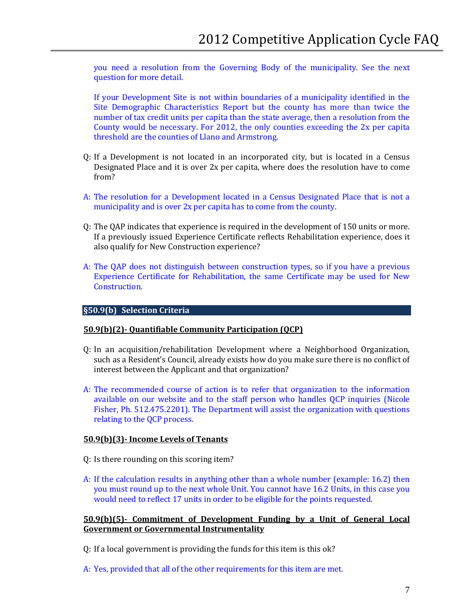you need a resolution from the Governing Body of the municipality. See the next question for more detail.

 County would be necessary. For 2012, the only counties exceeding the 2x per capita If your Development Site is not within boundaries of a municipality identified in the Site Demographic Characteristics Report but the county has more than twice the number of tax credit units per capita than the state average, then a resolution from the threshold are the counties of Llano and Armstrong.

- Designated Place and it is over 2x per capita, where does the resolution have to come Q: If a Development is not located in an incorporated city, but is located in a Census from?
- municipality and is over 2x per capita has to come from the county. A: The resolution for a Development located in a Census Designated Place that is not a
- Q: The QAP indicates that experience is required in the development of 150 units or more. If a previously issued Experience Certificate reflects Rehabilitation experience, does it also qualify for New Construction experience?
- A: The QAP does not distinguish between construction types, so if you have a previous Experience Certificate for Rehabilitation, the same Certificate may be used for New Construction.

#### **- §50.9(b) Selection Criteria**

#### **50.9(b)(2)- Quantifiable Community Participation (QCP)**

- Q: In an acquisition/rehabilitation Development where a Neighborhood Organization, such as a Resident's Council, already exists how do you make sure there is no conflict of interest between the Applicant and that organization?
- available on our website and to the staff person who handles QCP inquiries (Nicole A: The recommended course of action is to refer that organization to the information Fisher, Ph. 512.475.2201). The Department will assist the organization with questions relating to the QCP process.

# **50.9(b)(3)- Income Levels of Tenants**

- Q: Is there rounding on this scoring item?
- A: If the calculation results in anything other than a whole number (example: 16.2) then you must round up to the next whole Unit. You cannot have 16.2 Units, in this case you would need to reflect 17 units in order to be eligible for the points requested.

**50.9(b)(5)- Commitment of Development Funding by a Unit of General Local Government or Governmental Instrumentality** 

- Q: If a local government is providing the funds for this item is this ok?
- A: Yes, provided that all of the other requirements for this item are met.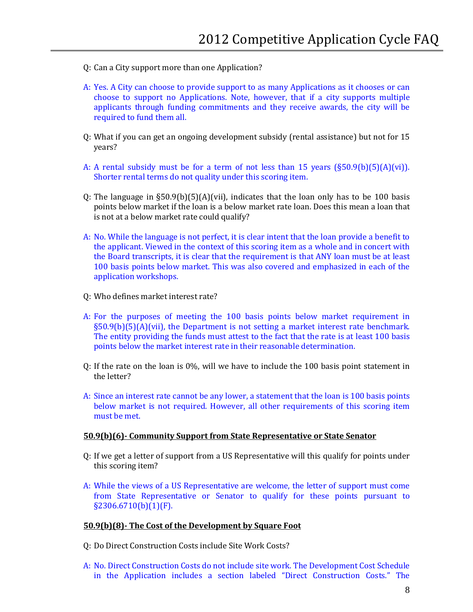- Q: Can a City support more than one Application?
- A: Yes. A City can choose to provide support to as many Applications as it chooses or can choose to support no Applications. Note, however, that if a city supports multiple applicants through funding commitments and they receive awards, the city will be required to fund them all.
- Q: What if you can get an ongoing development subsidy (rental assistance) but not for 15 years?
- A: A rental subsidy must be for a term of not less than 15 years (§50.9(b)(5)(A)(vi)). Shorter rental terms do not quality under this scoring item.
- points below market if the loan is a below market rate loan. Does this mean a loan that Q: The language in  $\S50.9(b)(5)(A)(vii)$ , indicates that the loan only has to be 100 basis is not at a below market rate could qualify?
- A: No. While the language is not perfect, it is clear intent that the loan provide a benefit to the applicant. Viewed in the context of this scoring item as a whole and in concert with 100 basis points below market. This was also covered and emphasized in each of the the Board transcripts, it is clear that the requirement is that ANY loan must be at least application workshops.
- Q: Who defines market interest rate?
- points below the market interest rate in their reasonable determination. A: For the purposes of meeting the 100 basis points below market requirement in §50.9(b)(5)(A)(vii), the Department is not setting a market interest rate benchmark. The entity providing the funds must attest to the fact that the rate is at least 100 basis
- Q: If the rate on the loan is 0%, will we have to include the 100 basis point statement in the letter?
- A: Since an interest rate cannot be any lower, a statement that the loan is 100 basis points below market is not required. However, all other requirements of this scoring item must be met.

#### **50.9(b)(6)- Community Support from State Representative or State Senator**

- Q: If we get a letter of support from a US Representative will this qualify for points under this scoring item?
- A: While the views of a US Representative are welcome, the letter of support must come from State Representative or Senator to qualify for these points pursuant to §2306.6710(b)(1)(F).

#### **50.9(b)(8)- The Cost of the Development by Square Foot**

- Q: Do Direct Construction Costs include Site Work Costs?
- A: No. Direct Construction Costs do not include site work. The Development Cost Schedule in the Application includes a section labeled "Direct Construction Costs." The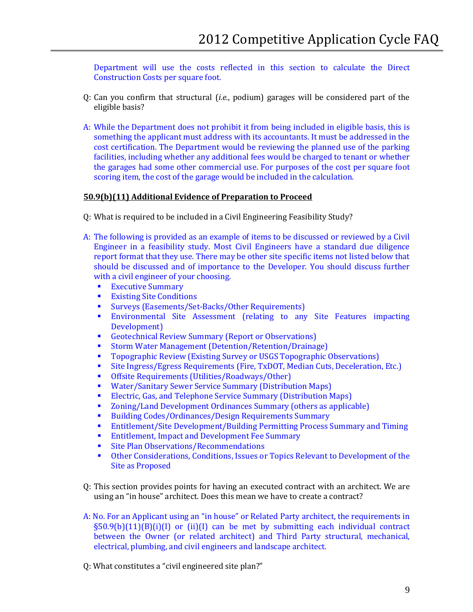Department will use the costs reflected in this section to calculate the Direct Construction Costs per square foot.

- Q: Can you confirm that structural (*i.e.*, podium) garages will be considered part of the eligible basis?
- cost certification. The Department would be reviewing the planned use of the parking facilities, including whether any additional fees would be charged to tenant or whether the garages had some other commercial use. For purposes of the cost per square foot A: While the Department does not prohibit it from being included in eligible basis, this is something the applicant must address with its accountants. It must be addressed in the scoring item, the cost of the garage would be included in the calculation.

## **50.9(b)(11) Additional Evidence of Preparation to Proceed**

- Q: What is required to be included in a Civil Engineering Feasibility Study?
- A: The following is provided as an example of items to be discussed or reviewed by a Civil should be discussed and of importance to the Developer. You should discuss further Engineer in a feasibility study. Most Civil Engineers have a standard due diligence report format that they use. There may be other site specific items not listed below that with a civil engineer of your choosing.<br>
Executive Summary
	- **Executive Summary<br>Existing Site Condition**
	- **Existing Site Conditions**
	- Surveys (Easements/Set-Backs/Other Requirements)<br>Environmental Site Assessment (relating to any
	- Environmental Site Assessment (relating to any Site Features impacting Development)
	- **Geotechnical Review Summary (Report or Observations)**<br>**Storm Water Management (Detention/Retention/Drainas**
	- Storm Water Management (Detention/Retention/Drainage)
	- **Topographic Review (Existing Survey or USGS Topographic Observations)**<br>Site Ingress (Fgress Requirements (Fire TyDOT Median Cuts Deceleration
	- Site Ingress/Egress Requirements (Fire, TxDOT, Median Cuts, Deceleration, Etc.)<br>
	Offsite Requirements (Utilities/Roadways/Other)
	- Offsite Requirements (Utilities/Roadways/Other)<br>■ Water/Sanitary Sewer Service Summary (Distribut
	- Water/Sanitary Sewer Service Summary (Distribution Maps)<br>■ Electric Gas. and Telephone Service Summary (Distribution M
	- **Electric, Gas, and Telephone Service Summary (Distribution Maps)**<br>**E** Zoning/Land Development Ordinances Summary (others as applica
	- Zoning/Land Development Ordinances Summary (others as applicable)<br>■ Building Codes/Ordinances/Design Requirements Summary
	- **Building Codes/Ordinances/Design Requirements Summary**<br>**Entitlement/Site Development/Building Permitting Process**
	- Entitlement/Site Development/Building Permitting Process Summary and Timing<br>■ Entitlement Impact and Development Fee Summary
	- **Entitlement, Impact and Development Fee Summary<br>
	Site Plan Observations/Recommendations**
	- Site Plan Observations/Recommendations
	- Other Considerations, Conditions, Issues or Topics Relevant to Development of the Site as Proposed
- Q: This section provides points for having an executed contract with an architect. We are using an "in house" architect. Does this mean we have to create a contract?
- §50.9(b)(11)(B)(i)(I) or (ii)(I) can be met by submitting each individual contract between the Owner (or related architect) and Third Party structural, mechanical, A: No. For an Applicant using an "in house" or Related Party architect, the requirements in electrical, plumbing, and civil engineers and landscape architect.
- Q: What constitutes a "civil engineered site plan?"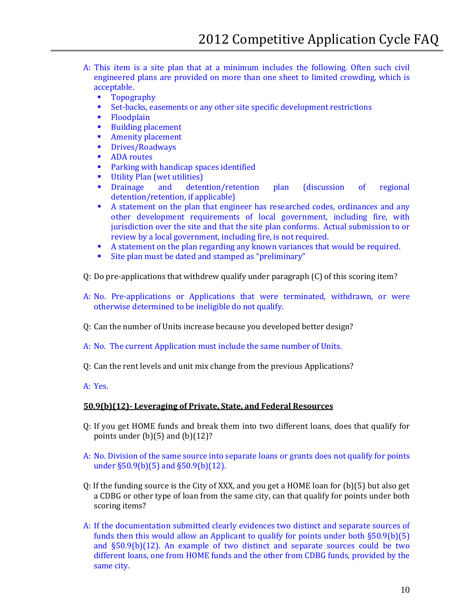- engineered plans are provided on more than one sheet to limited crowding, which is A: This item is a site plan that at a minimum includes the following. Often such civil acceptable.<br>Topog
	- **Topography**<br>Set-backs ea
	- Set-backs, easements or any other site specific development restrictions<br>
	Floodplain
	- Floodplain<br>• Building pla
	- Building placement<br>■ Amenity placement
	- Amenity placement<br>• Drives/Roadways
	- **Drives/Roadways**<br>ADA routes
	- ADA routes<br>• Parking with
	- **Parking with handicap spaces identified**<br>Filiality Plan (wet utilities)
	- **•** Utility Plan (wet utilities)<br>• Drainage and deter
	- detention/retention plan (discussion of regional detention/retention, if applicable)
	- jurisdiction over the site and that the site plan conforms. Actual submission to or A statement on the plan that engineer has researched codes, ordinances and any other development requirements of local government, including fire, with review by a local government, including fire, is not required.
	- A statement on the plan regarding any known variances that would be required.<br>Site plan must be dated and stamped as "preliminary"
	- Site plan must be dated and stamped as "preliminary"
- Q: Do pre-applications that withdrew qualify under paragraph (C) of this scoring item?
- A: No. Pre-applications or Applications that were terminated, withdrawn, or were otherwise determined to be ineligible do not qualify.
- Q: Can the number of Units increase because you developed better design?
- A: No. The current Application must include the same number of Units.
- Q: Can the rent levels and unit mix change from the previous Applications?
- A: Yes.

# **50.9(b)(12)- Leveraging of Private, State, and Federal Resources**

- Q: If you get HOME funds and break them into two different loans, does that qualify for points under  $(b)(5)$  and  $(b)(12)$ ?
- A: No. Division of the same source into separate loans or grants does not qualify for points under §50.9(b)(5) and §50.9(b)(12).
- Q: If the funding source is the City of XXX, and you get a HOME loan for (b)(5) but also get a CDBG or other type of loan from the same city, can that qualify for points under both scoring items?
- A: If the documentation submitted clearly evidences two distinct and separate sources of funds then this would allow an Applicant to qualify for points under both §50.9(b)(5) and §50.9(b)(12). An example of two distinct and separate sources could be two different loans, one from HOME funds and the other from CDBG funds, provided by the same city.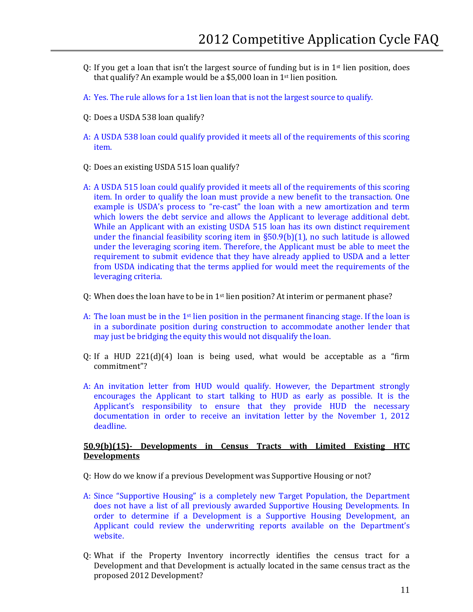- Q: If you get a loan that isn't the largest source of funding but is in 1st lien position, does that qualify? An example would be a \$5,000 loan in 1st lien position.
- A: Yes. The rule allows for a 1st lien loan that is not the largest source to qualify.
- Q: Does a USDA 538 loan qualify?
- A: A USDA 538 loan could qualify provided it meets all of the requirements of this scoring item.
- Q: Does an existing USDA 515 loan qualify?
- item. In order to qualify the loan must provide a new benefit to the transaction. One which lowers the debt service and allows the Applicant to leverage additional debt. under the financial feasibility scoring item in §50.9(b)(1), no such latitude is allowed A: A USDA 515 loan could qualify provided it meets all of the requirements of this scoring example is USDA's process to "re-cast" the loan with a new amortization and term While an Applicant with an existing USDA 515 loan has its own distinct requirement under the leveraging scoring item. Therefore, the Applicant must be able to meet the requirement to submit evidence that they have already applied to USDA and a letter from USDA indicating that the terms applied for would meet the requirements of the leveraging criteria.
- Q: When does the loan have to be in  $1<sup>st</sup>$  lien position? At interim or permanent phase?
- A: The loan must be in the 1st lien position in the permanent financing stage. If the loan is in a subordinate position during construction to accommodate another lender that may just be bridging the equity this would not disqualify the loan.
- Q: If a HUD 221(d)(4) loan is being used, what would be acceptable as a "firm commitment"?
- Applicant's responsibility to ensure that they provide HUD the necessary A: An invitation letter from HUD would qualify. However, the Department strongly encourages the Applicant to start talking to HUD as early as possible. It is the documentation in order to receive an invitation letter by the November 1, 2012 deadline.

# **50.9(b)(15)- Developments in Census Tracts with Limited Existing HTC Developments**

Q: How do we know if a previous Development was Supportive Housing or not?

- A: Since "Supportive Housing" is a completely new Target Population, the Department does not have a list of all previously awarded Supportive Housing Developments. In order to determine if a Development is a Supportive Housing Development, an Applicant could review the underwriting reports available on the Department's website.
- Q: What if the Property Inventory incorrectly identifies the census tract for a Development and that Development is actually located in the same census tract as the proposed 2012 Development?